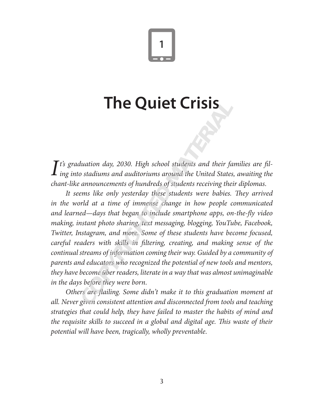# **1**

# **The Quiet Crisis**

*I i*'s graduation day, 2030. High school students and their families are fil-<br>*ing into stadiums and auditoriums around the United States, awaiting the t's graduation day, 2030. High school students and their families are filchant-like announcements of hundreds of students receiving their diplomas*.

*It seems like only yesterday these students were babies. They arrived in the world at a time of immense change in how people communicated and learned—days that began to include smartphone apps, on-the-fly video making, instant photo sharing, text messaging, blogging, YouTube, Facebook, Twitter, Instagram, and more. Some of these students have become focused, careful readers with skills in filtering, creating, and making sense of the continual streams of information coming their way. Guided by a community of parents and educators who recognized the potential of new tools and mentors, they have become über readers, literate in a way that was almost unimaginable in the days before they were born*. **COPYRIMATE SET ASSES**<br>*Containon day, 2030. High school students and their factorial in the state announcements of hundreds of students receiving the enems like only yesterday these students were babies.<br>
For an investiga* 

*Others are flailing. Some didn't make it to this graduation moment at all. Never given consistent attention and disconnected from tools and teaching strategies that could help, they have failed to master the habits of mind and the requisite skills to succeed in a global and digital age. This waste of their potential will have been, tragically, wholly preventable*.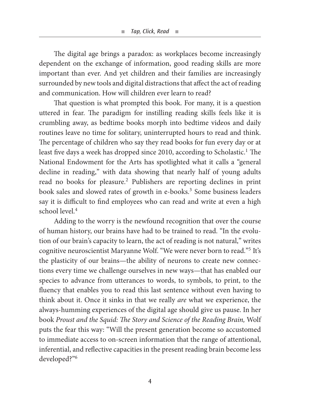The digital age brings a paradox: as workplaces become increasingly dependent on the exchange of information, good reading skills are more important than ever. And yet children and their families are increasingly surrounded by new tools and digital distractions that affect the act of reading and communication. How will children ever learn to read?

That question is what prompted this book. For many, it is a question uttered in fear. The paradigm for instilling reading skills feels like it is crumbling away, as bedtime books morph into bedtime videos and daily routines leave no time for solitary, uninterrupted hours to read and think. The percentage of children who say they read books for fun every day or at least five days a week has dropped since 2010, according to Scholastic.<sup>1</sup> The National Endowment for the Arts has spotlighted what it calls a "general decline in reading," with data showing that nearly half of young adults read no books for pleasure.<sup>2</sup> Publishers are reporting declines in print book sales and slowed rates of growth in e-books.<sup>3</sup> Some business leaders say it is difficult to find employees who can read and write at even a high school level.<sup>4</sup>

Adding to the worry is the newfound recognition that over the course of human history, our brains have had to be trained to read. "In the evolution of our brain's capacity to learn, the act of reading is not natural," writes cognitive neuroscientist Maryanne Wolf. "We were never born to read."<sup>5</sup> It's the plasticity of our brains—the ability of neurons to create new connections every time we challenge ourselves in new ways—that has enabled our species to advance from utterances to words, to symbols, to print, to the fluency that enables you to read this last sentence without even having to think about it. Once it sinks in that we really *are* what we experience, the always-humming experiences of the digital age should give us pause. In her book *Proust and the Squid: The Story and Science of the Reading Brain,* Wolf puts the fear this way: "Will the present generation become so accustomed to immediate access to on-screen information that the range of attentional, inferential, and reflective capacities in the present reading brain become less developed?"6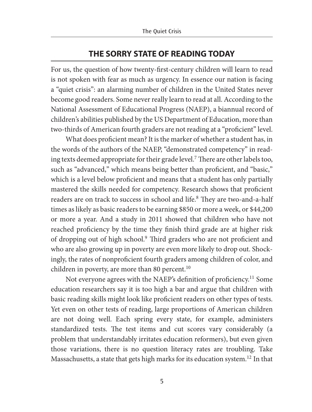#### **THE SORRY STATE OF READING TODAY**

For us, the question of how twenty-first-century children will learn to read is not spoken with fear as much as urgency. In essence our nation is facing a "quiet crisis": an alarming number of children in the United States never become good readers. Some never really learn to read at all. According to the National Assessment of Educational Progress (NAEP), a biannual record of children's abilities published by the US Department of Education, more than two-thirds of American fourth graders are not reading at a "proficient" level.

What does proficient mean? It is the marker of whether a student has, in the words of the authors of the NAEP, "demonstrated competency" in reading texts deemed appropriate for their grade level.<sup>7</sup> There are other labels too, such as "advanced," which means being better than proficient, and "basic," which is a level below proficient and means that a student has only partially mastered the skills needed for competency. Research shows that proficient readers are on track to success in school and life.<sup>8</sup> They are two-and-a-half times as likely as basic readers to be earning \$850 or more a week, or \$44,200 or more a year. And a study in 2011 showed that children who have not reached proficiency by the time they finish third grade are at higher risk of dropping out of high school.9 Third graders who are not proficient and who are also growing up in poverty are even more likely to drop out. Shockingly, the rates of nonproficient fourth graders among children of color, and children in poverty, are more than 80 percent. $10$ 

Not everyone agrees with the NAEP's definition of proficiency.<sup>11</sup> Some education researchers say it is too high a bar and argue that children with basic reading skills might look like proficient readers on other types of tests. Yet even on other tests of reading, large proportions of American children are not doing well. Each spring every state, for example, administers standardized tests. The test items and cut scores vary considerably (a problem that understandably irritates education reformers), but even given those variations, there is no question literacy rates are troubling. Take Massachusetts, a state that gets high marks for its education system.<sup>12</sup> In that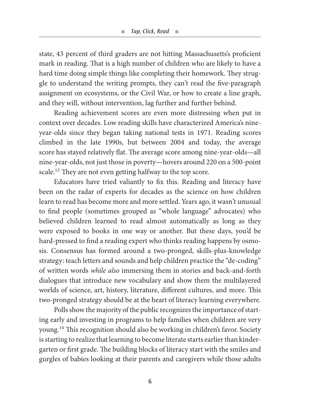state, 43 percent of third graders are not hitting Massachusetts's proficient mark in reading. That is a high number of children who are likely to have a hard time doing simple things like completing their homework. They struggle to understand the writing prompts, they can't read the five-paragraph assignment on ecosystems, or the Civil War, or how to create a line graph, and they will, without intervention, lag further and further behind.

Reading achievement scores are even more distressing when put in context over decades. Low reading skills have characterized America's nineyear-olds since they began taking national tests in 1971. Reading scores climbed in the late 1990s, but between 2004 and today, the average score has stayed relatively flat. The average score among nine-year-olds—all nine-year-olds, not just those in poverty—hovers around 220 on a 500-point scale.<sup>13</sup> They are not even getting halfway to the top score.

Educators have tried valiantly to fix this. Reading and literacy have been on the radar of experts for decades as the science on how children learn to read has become more and more settled. Years ago, it wasn't unusual to find people (sometimes grouped as "whole language" advocates) who believed children learned to read almost automatically as long as they were exposed to books in one way or another. But these days, you'd be hard-pressed to find a reading expert who thinks reading happens by osmosis. Consensus has formed around a two-pronged, skills-plus-knowledge strategy: teach letters and sounds and help children practice the "de-coding" of written words *while also* immersing them in stories and back-and-forth dialogues that introduce new vocabulary and show them the multilayered worlds of science, art, history, literature, different cultures, and more. This two-pronged strategy should be at the heart of literacy learning everywhere.

Polls show the majority of the public recognizes the importance of starting early and investing in programs to help families when children are very young.<sup>14</sup> This recognition should also be working in children's favor. Society is starting to realize that learning to become literate starts earlier than kindergarten or first grade. The building blocks of literacy start with the smiles and gurgles of babies looking at their parents and caregivers while those adults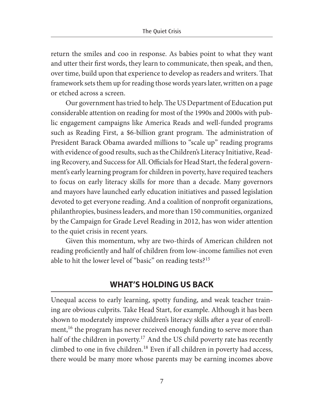return the smiles and coo in response. As babies point to what they want and utter their first words, they learn to communicate, then speak, and then, over time, build upon that experience to develop as readers and writers. That framework sets them up for reading those words years later, written on a page or etched across a screen.

Our government has tried to help.The US Department of Education put considerable attention on reading for most of the 1990s and 2000s with public engagement campaigns like America Reads and well-funded programs such as Reading First, a \$6-billion grant program. The administration of President Barack Obama awarded millions to "scale up" reading programs with evidence of good results, such as the Children's Literacy Initiative, Reading Recovery, and Success for All. Officials for Head Start, the federal government's early learning program for children in poverty, have required teachers to focus on early literacy skills for more than a decade. Many governors and mayors have launched early education initiatives and passed legislation devoted to get everyone reading. And a coalition of nonprofit organizations, philanthropies, business leaders, and more than 150 communities, organized by the Campaign for Grade Level Reading in 2012, has won wider attention to the quiet crisis in recent years.

Given this momentum, why are two-thirds of American children not reading proficiently and half of children from low-income families not even able to hit the lower level of "basic" on reading tests?<sup>15</sup>

### **WHAT'S HOLDING US BACK**

Unequal access to early learning, spotty funding, and weak teacher training are obvious culprits. Take Head Start, for example. Although it has been shown to moderately improve children's literacy skills after a year of enrollment,<sup>16</sup> the program has never received enough funding to serve more than half of the children in poverty.<sup>17</sup> And the US child poverty rate has recently climbed to one in five children.<sup>18</sup> Even if all children in poverty had access, there would be many more whose parents may be earning incomes above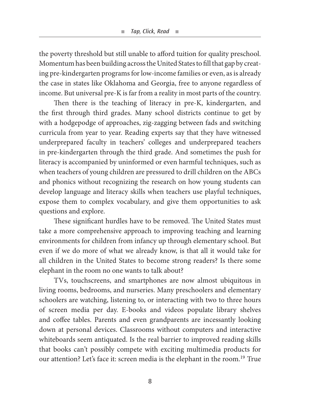the poverty threshold but still unable to afford tuition for quality preschool. Momentum has been building across the United States to fill that gap by creating pre-kindergarten programs for low-income families or even, as is already the case in states like Oklahoma and Georgia, free to anyone regardless of income. But universal pre-K is far from a reality in most parts of the country.

Then there is the teaching of literacy in pre-K, kindergarten, and the first through third grades. Many school districts continue to get by with a hodgepodge of approaches, zig-zagging between fads and switching curricula from year to year. Reading experts say that they have witnessed underprepared faculty in teachers' colleges and underprepared teachers in pre-kindergarten through the third grade. And sometimes the push for literacy is accompanied by uninformed or even harmful techniques, such as when teachers of young children are pressured to drill children on the ABCs and phonics without recognizing the research on how young students can develop language and literacy skills when teachers use playful techniques, expose them to complex vocabulary, and give them opportunities to ask questions and explore.

These significant hurdles have to be removed. The United States must take a more comprehensive approach to improving teaching and learning environments for children from infancy up through elementary school. But even if we do more of what we already know, is that all it would take for all children in the United States to become strong readers? Is there some elephant in the room no one wants to talk about?

TVs, touchscreens, and smartphones are now almost ubiquitous in living rooms, bedrooms, and nurseries. Many preschoolers and elementary schoolers are watching, listening to, or interacting with two to three hours of screen media per day. E-books and videos populate library shelves and coffee tables. Parents and even grandparents are incessantly looking down at personal devices. Classrooms without computers and interactive whiteboards seem antiquated. Is the real barrier to improved reading skills that books can't possibly compete with exciting multimedia products for our attention? Let's face it: screen media is the elephant in the room.<sup>19</sup> True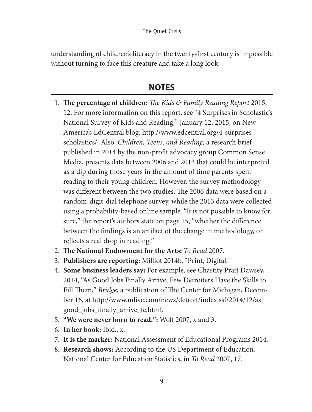understanding of children's literacy in the twenty-first century is impossible without turning to face this creature and take a long look.

## **NOTES**

- 1. **The percentage of children:** *The Kids & Family Reading Report* 2015, 12. For more information on this report, see "4 Surprises in Scholastic's National Survey of Kids and Reading," January 12, 2015, on New America's EdCentral blog: http://www.edcentral.org/4-surprisesscholastics/. Also, *Children, Teens, and Reading,* a research brief published in 2014 by the non-profit advocacy group Common Sense Media, presents data between 2006 and 2013 that could be interpreted as a dip during those years in the amount of time parents spent reading to their young children. However, the survey methodology was different between the two studies. The 2006 data were based on a random-digit-dial telephone survey, while the 2013 data were collected using a probability-based online sample. "It is not possible to know for sure," the report's authors state on page 15, "whether the difference between the findings is an artifact of the change in methodology, or reflects a real drop in reading."
- 2. **The National Endowment for the Arts:** *To Read* 2007.
- 3. **Publishers are reporting:** Milliot 2014b, "Print, Digital."
- 4. **Some business leaders say:** For example, see Chastity Pratt Dawsey, 2014, "As Good Jobs Finally Arrive, Few Detroiters Have the Skills to Fill Them," *Bridge*, a publication of The Center for Michigan, December 16, at http://www.mlive.com/news/detroit/index.ssf/2014/12/as\_ good\_jobs\_finally\_arrive\_fe.html.
- 5. **"We were never born to read.":** Wolf 2007, x and 3.
- 6. **In her book:** Ibid., x.
- 7. **It is the marker:** National Assessment of Educational Programs 2014.
- 8. **Research shows:** According to the US Department of Education, National Center for Education Statistics, in *To Read* 2007, 17.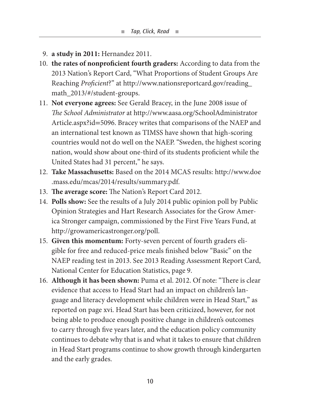- 9. **a study in 2011:** Hernandez 2011.
- 10. **the rates of nonproficient fourth graders:** According to data from the 2013 Nation's Report Card, "What Proportions of Student Groups Are Reaching *Proficient*?" at http://www.nationsreportcard.gov/reading\_ math  $2013$ /#/student-groups.
- 11. **Not everyone agrees:** See Gerald Bracey, in the June 2008 issue of *The School Administrator* at http://www.aasa.org/SchoolAdministrator Article.aspx?id=5096. Bracey writes that comparisons of the NAEP and an international test known as TIMSS have shown that high-scoring countries would not do well on the NAEP. "Sweden, the highest scoring nation, would show about one-third of its students proficient while the United States had 31 percent," he says.
- 12. **Take Massachusetts:** Based on the 2014 MCAS results: http://www.doe .mass.edu/mcas/2014/results/summary.pdf.
- 13. **The average score:** The Nation's Report Card 2012.
- 14. **Polls show:** See the results of a July 2014 public opinion poll by Public Opinion Strategies and Hart Research Associates for the Grow America Stronger campaign, commissioned by the First Five Years Fund, at http://growamericastronger.org/poll.
- 15. **Given this momentum:** Forty-seven percent of fourth graders eligible for free and reduced-price meals finished below "Basic" on the NAEP reading test in 2013. See 2013 Reading Assessment Report Card, National Center for Education Statistics, page 9.
- 16. **Although it has been shown:** Puma et al. 2012. Of note: "There is clear evidence that access to Head Start had an impact on children's language and literacy development while children were in Head Start," as reported on page xvi. Head Start has been criticized, however, for not being able to produce enough positive change in children's outcomes to carry through five years later, and the education policy community continues to debate why that is and what it takes to ensure that children in Head Start programs continue to show growth through kindergarten and the early grades.